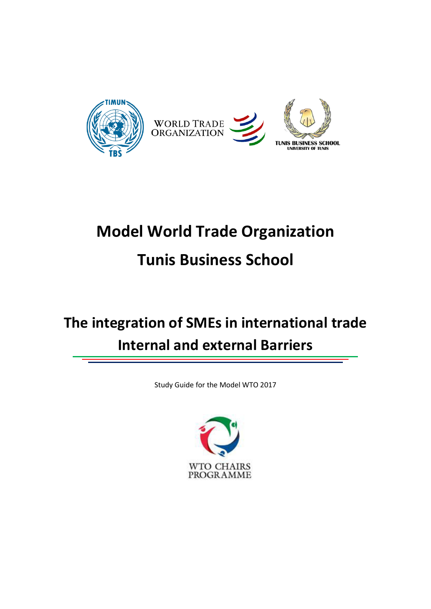

# **Model World Trade Organization Tunis Business School**

## **The integration of SMEs in international trade Internal and external Barriers**

Study Guide for the Model WTO 2017

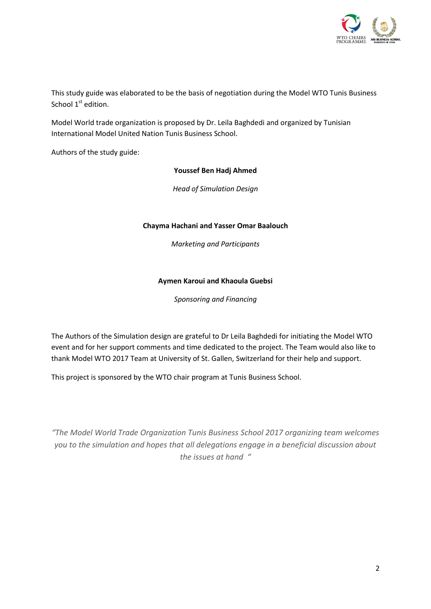

This study guide was elaborated to be the basis of negotiation during the Model WTO Tunis Business School  $1<sup>st</sup>$  edition.

Model World trade organization is proposed by Dr. Leila Baghdedi and organized by Tunisian International Model United Nation Tunis Business School.

Authors of the study guide:

#### **Youssef Ben Hadj Ahmed**

*Head of Simulation Design* 

#### **Chayma Hachani and Yasser Omar Baalouch**

*Marketing and Participants* 

#### **Aymen Karoui and Khaoula Guebsi**

*Sponsoring and Financing* 

The Authors of the Simulation design are grateful to Dr Leila Baghdedi for initiating the Model WTO event and for her support comments and time dedicated to the project. The Team would also like to thank Model WTO 2017 Team at University of St. Gallen, Switzerland for their help and support.

This project is sponsored by the WTO chair program at Tunis Business School.

*͞The Model World Trade Organization Tunis Business School 2017 organizing team welcomes you to the simulation and hopes that all delegations engage in a beneficial discussion about the issues at hand ͞*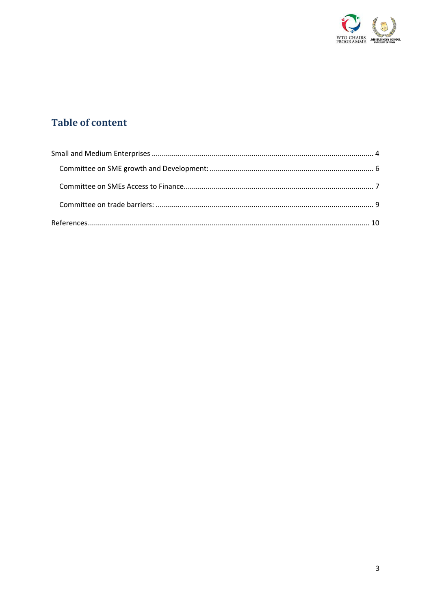

#### **Table of content**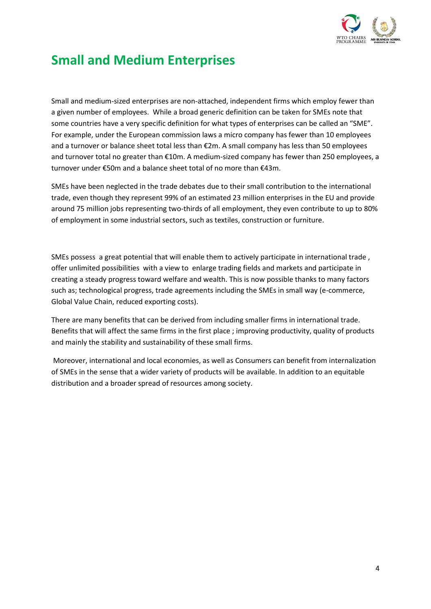

### <span id="page-3-0"></span>**Small and Medium Enterprises**

Small and medium-sized enterprises are non-attached, independent firms which employ fewer than a given number of employees. While a broad generic definition can be taken for SMEs note that some countries have a very specific definition for what types of enterprises can be called an "SME". For example, under the European commission laws a micro company has fewer than 10 employees and a turnover or balance sheet total less than €2m. A small company has less than 50 employees and turnover total no greater than €10m. A medium-sized company has fewer than 250 employees, a turnover under €50m and a balance sheet total of no more than €43m.

SMEs have been neglected in the trade debates due to their small contribution to the international trade, even though they represent 99% of an estimated 23 million enterprises in the EU and provide around 75 million jobs representing two-thirds of all employment, they even contribute to up to 80% of employment in some industrial sectors, such as textiles, construction or furniture.

SMEs possess a great potential that will enable them to actively participate in international trade , offer unlimited possibilities with a view to enlarge trading fields and markets and participate in creating a steady progress toward welfare and wealth. This is now possible thanks to many factors such as; technological progress, trade agreements including the SMEs in small way (e-commerce, Global Value Chain, reduced exporting costs).

There are many benefits that can be derived from including smaller firms in international trade. Benefits that will affect the same firms in the first place ; improving productivity, quality of products and mainly the stability and sustainability of these small firms.

 Moreover, international and local economies, as well as Consumers can benefit from internalization of SMEs in the sense that a wider variety of products will be available. In addition to an equitable distribution and a broader spread of resources among society.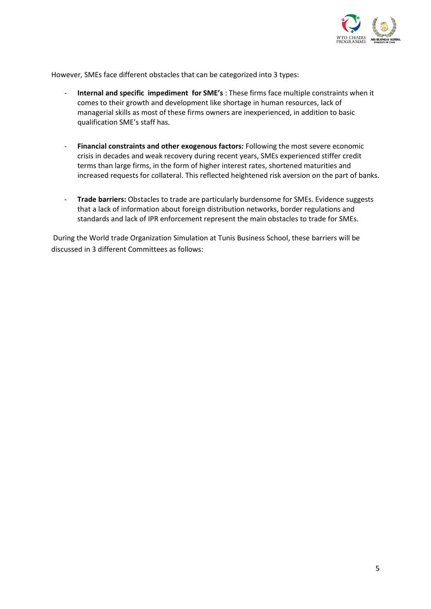

However, SMEs face different obstacles that can be categorized into 3 types:

- **Internal and specific impediment for SME's** : These firms face multiple constraints when it comes to their growth and development like shortage in human resources, lack of managerial skills as most of these firms owners are inexperienced, in addition to basic qualification SME's staff has.
- **Financial constraints and other exogenous factors:** Following the most severe economic crisis in decades and weak recovery during recent years, SMEs experienced stiffer credit terms than large firms, in the form of higher interest rates, shortened maturities and increased requests for collateral. This reflected heightened risk aversion on the part of banks.
- **Trade barriers:** Obstacles to trade are particularly burdensome for SMEs. Evidence suggests that a lack of information about foreign distribution networks, border regulations and standards and lack of IPR enforcement represent the main obstacles to trade for SMEs.

 During the World trade Organization Simulation at Tunis Business School, these barriers will be discussed in 3 different Committees as follows: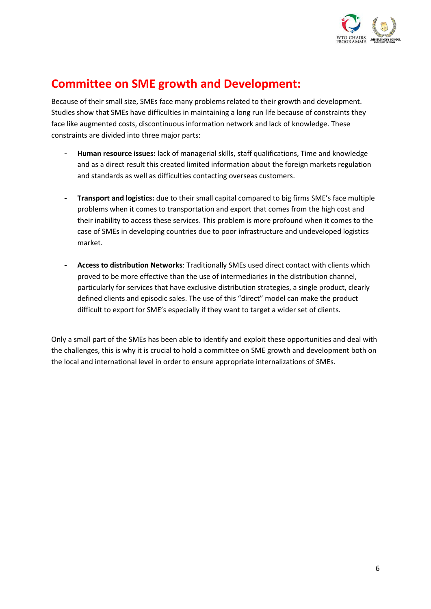

### <span id="page-5-0"></span>**Committee on SME growth and Development:**

Because of their small size, SMEs face many problems related to their growth and development. Studies show that SMEs have difficulties in maintaining a long run life because of constraints they face like augmented costs, discontinuous information network and lack of knowledge. These constraints are divided into three major parts:

- Human resource issues: lack of managerial skills, staff qualifications, Time and knowledge and as a direct result this created limited information about the foreign markets regulation and standards as well as difficulties contacting overseas customers.
- Transport and logistics: due to their small capital compared to big firms SME's face multiple problems when it comes to transportation and export that comes from the high cost and their inability to access these services. This problem is more profound when it comes to the case of SMEs in developing countries due to poor infrastructure and undeveloped logistics market.
- Access to distribution Networks: Traditionally SMEs used direct contact with clients which proved to be more effective than the use of intermediaries in the distribution channel, particularly for services that have exclusive distribution strategies, a single product, clearly defined clients and episodic sales. The use of this "direct" model can make the product difficult to export for SME's especially if they want to target a wider set of clients.

Only a small part of the SMEs has been able to identify and exploit these opportunities and deal with the challenges, this is why it is crucial to hold a committee on SME growth and development both on the local and international level in order to ensure appropriate internalizations of SMEs.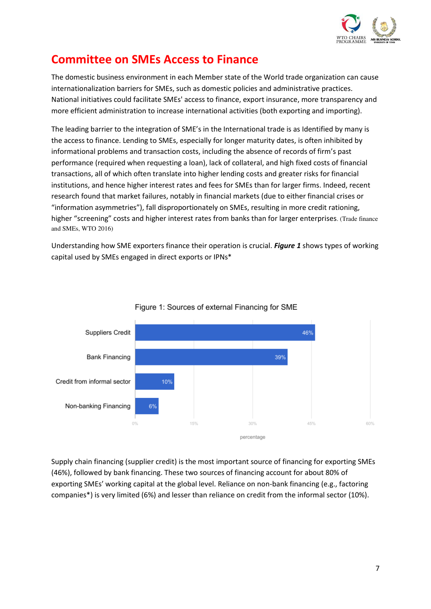

### <span id="page-6-0"></span>**Committee on SMEs Access to Finance**

The domestic business environment in each Member state of the World trade organization can cause internationalization barriers for SMEs, such as domestic policies and administrative practices. National initiatives could facilitate SMEs' access to finance, export insurance, more transparency and more efficient administration to increase international activities (both exporting and importing).

The leading barrier to the integration of SME's in the International trade is as Identified by many is the access to finance. Lending to SMEs, especially for longer maturity dates, is often inhibited by informational problems and transaction costs, including the absence of records of firm's past performance (required when requesting a loan), lack of collateral, and high fixed costs of financial transactions, all of which often translate into higher lending costs and greater risks for financial institutions, and hence higher interest rates and fees for SMEs than for larger firms. Indeed, recent research found that market failures, notably in financial markets (due to either financial crises or "information asymmetries"), fall disproportionately on SMEs, resulting in more credit rationing, higher "screening" costs and higher interest rates from banks than for larger enterprises. (Trade finance and SMEs, WTO 2016)

Understanding how SME exporters finance their operation is crucial. Figure 1 shows types of working capital used by SMEs engaged in direct exports or IPNs\*





Supply chain financing (supplier credit) is the most important source of financing for exporting SMEs (46%), followed by bank financing. These two sources of financing account for about 80% of exporting SMEs' working capital at the global level. Reliance on non-bank financing (e.g., factoring companies\*) is very limited (6%) and lesser than reliance on credit from the informal sector (10%).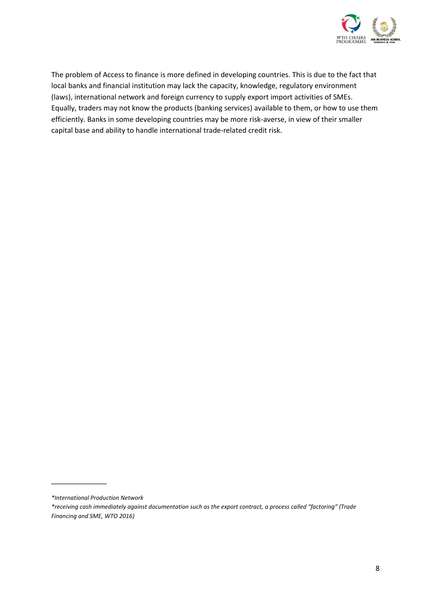

The problem of Access to finance is more defined in developing countries. This is due to the fact that local banks and financial institution may lack the capacity, knowledge, regulatory environment (laws), international network and foreign currency to supply export import activities of SMEs. Equally, traders may not know the products (banking services) available to them, or how to use them efficiently. Banks in some developing countries may be more risk-averse, in view of their smaller capital base and ability to handle international trade-related credit risk.

 $\overline{\phantom{a}}$  , where  $\overline{\phantom{a}}$ 

*<sup>\*</sup>International Production Network* 

*<sup>\*</sup>receiving cash immediately against documentation such as the export contract, a process called ͞factoring͟ (Trade Financing and SME, WTO 2016)*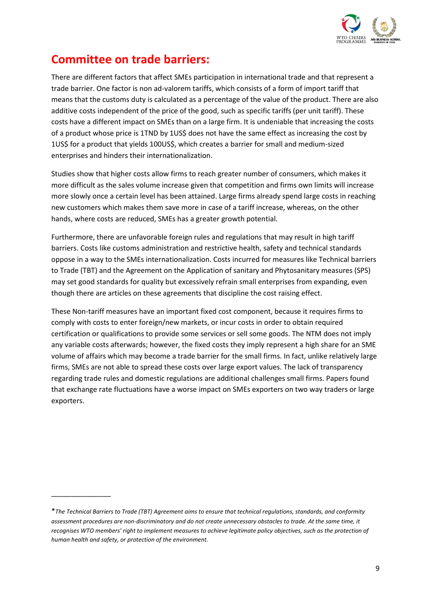

#### <span id="page-8-0"></span>**Committee on trade barriers:**

There are different factors that affect SMEs participation in international trade and that represent a trade barrier. One factor is non ad-valorem tariffs, which consists of a form of import tariff that means that the customs duty is calculated as a percentage of the value of the product. There are also additive costs independent of the price of the good, such as specific tariffs (per unit tariff). These costs have a different impact on SMEs than on a large firm. It is undeniable that increasing the costs of a product whose price is 1TND by 1US\$ does not have the same effect as increasing the cost by 1US\$ for a product that yields 100US\$, which creates a barrier for small and medium-sized enterprises and hinders their internationalization.

Studies show that higher costs allow firms to reach greater number of consumers, which makes it more difficult as the sales volume increase given that competition and firms own limits will increase more slowly once a certain level has been attained. Large firms already spend large costs in reaching new customers which makes them save more in case of a tariff increase, whereas, on the other hands, where costs are reduced, SMEs has a greater growth potential.

Furthermore, there are unfavorable foreign rules and regulations that may result in high tariff barriers. Costs like customs administration and restrictive health, safety and technical standards oppose in a way to the SMEs internationalization. Costs incurred for measures like Technical barriers to Trade (TBT) and the Agreement on the Application of sanitary and Phytosanitary measures (SPS) may set good standards for quality but excessively refrain small enterprises from expanding, even though there are articles on these agreements that discipline the cost raising effect.

These Non-tariff measures have an important fixed cost component, because it requires firms to comply with costs to enter foreign/new markets, or incur costs in order to obtain required certification or qualifications to provide some services or sell some goods. The NTM does not imply any variable costs afterwards; however, the fixed costs they imply represent a high share for an SME volume of affairs which may become a trade barrier for the small firms. In fact, unlike relatively large firms, SMEs are not able to spread these costs over large export values. The lack of transparency regarding trade rules and domestic regulations are additional challenges small firms. Papers found that exchange rate fluctuations have a worse impact on SMEs exporters on two way traders or large exporters.

 $\frac{1}{2}$  ,  $\frac{1}{2}$  ,  $\frac{1}{2}$  ,  $\frac{1}{2}$  ,  $\frac{1}{2}$  ,  $\frac{1}{2}$  ,  $\frac{1}{2}$ 

<sup>\*</sup>*The Technical Barriers to Trade (TBT) Agreement aims to ensure that technical regulations, standards, and conformity assessment procedures are non-discriminatory and do not create unnecessary obstacles to trade. At the same time, it recognises WTO members' right to implement measures to achieve legitimate policy objectives, such as the protection of human health and safety, or protection of the environment.*